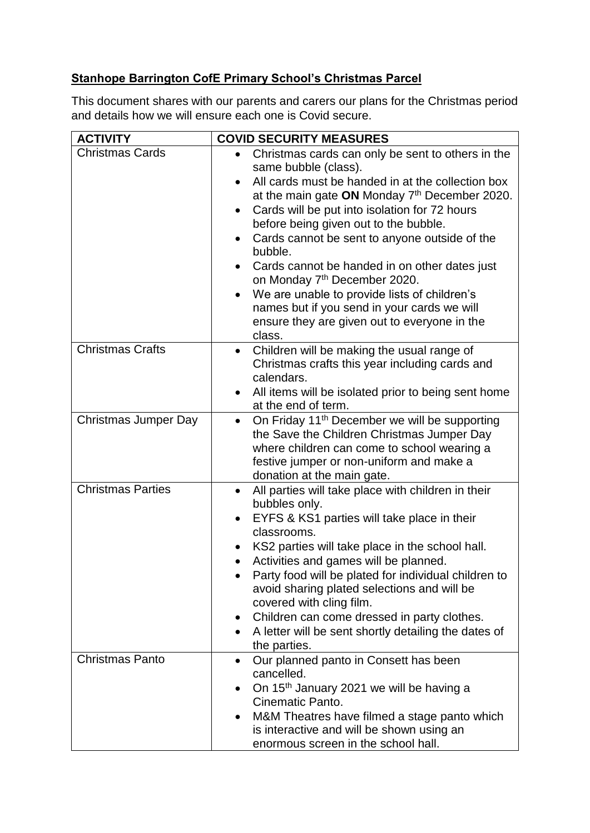## **Stanhope Barrington CofE Primary School's Christmas Parcel**

This document shares with our parents and carers our plans for the Christmas period and details how we will ensure each one is Covid secure.

| <b>ACTIVITY</b>          | <b>COVID SECURITY MEASURES</b>                                                                                                                                                                                                                                                                                                                                                                                                                                                                                                                                                                                                          |
|--------------------------|-----------------------------------------------------------------------------------------------------------------------------------------------------------------------------------------------------------------------------------------------------------------------------------------------------------------------------------------------------------------------------------------------------------------------------------------------------------------------------------------------------------------------------------------------------------------------------------------------------------------------------------------|
| <b>Christmas Cards</b>   | Christmas cards can only be sent to others in the<br>same bubble (class).<br>All cards must be handed in at the collection box<br>$\bullet$<br>at the main gate ON Monday 7th December 2020.<br>Cards will be put into isolation for 72 hours<br>$\bullet$<br>before being given out to the bubble.<br>Cards cannot be sent to anyone outside of the<br>٠<br>bubble.<br>Cards cannot be handed in on other dates just<br>on Monday 7 <sup>th</sup> December 2020.<br>We are unable to provide lists of children's<br>$\bullet$<br>names but if you send in your cards we will<br>ensure they are given out to everyone in the<br>class. |
| <b>Christmas Crafts</b>  | Children will be making the usual range of<br>$\bullet$<br>Christmas crafts this year including cards and<br>calendars.<br>All items will be isolated prior to being sent home<br>at the end of term.                                                                                                                                                                                                                                                                                                                                                                                                                                   |
| Christmas Jumper Day     | On Friday 11 <sup>th</sup> December we will be supporting<br>the Save the Children Christmas Jumper Day<br>where children can come to school wearing a<br>festive jumper or non-uniform and make a<br>donation at the main gate.                                                                                                                                                                                                                                                                                                                                                                                                        |
| <b>Christmas Parties</b> | All parties will take place with children in their<br>$\bullet$<br>bubbles only.<br>EYFS & KS1 parties will take place in their<br>classrooms.<br>KS2 parties will take place in the school hall.<br>Activities and games will be planned.<br>$\bullet$<br>Party food will be plated for individual children to<br>avoid sharing plated selections and will be<br>covered with cling film.<br>Children can come dressed in party clothes.<br>A letter will be sent shortly detailing the dates of<br>$\bullet$<br>the parties.                                                                                                          |
| <b>Christmas Panto</b>   | Our planned panto in Consett has been<br>$\bullet$<br>cancelled.<br>On 15 <sup>th</sup> January 2021 we will be having a<br>Cinematic Panto.<br>M&M Theatres have filmed a stage panto which<br>is interactive and will be shown using an<br>enormous screen in the school hall.                                                                                                                                                                                                                                                                                                                                                        |